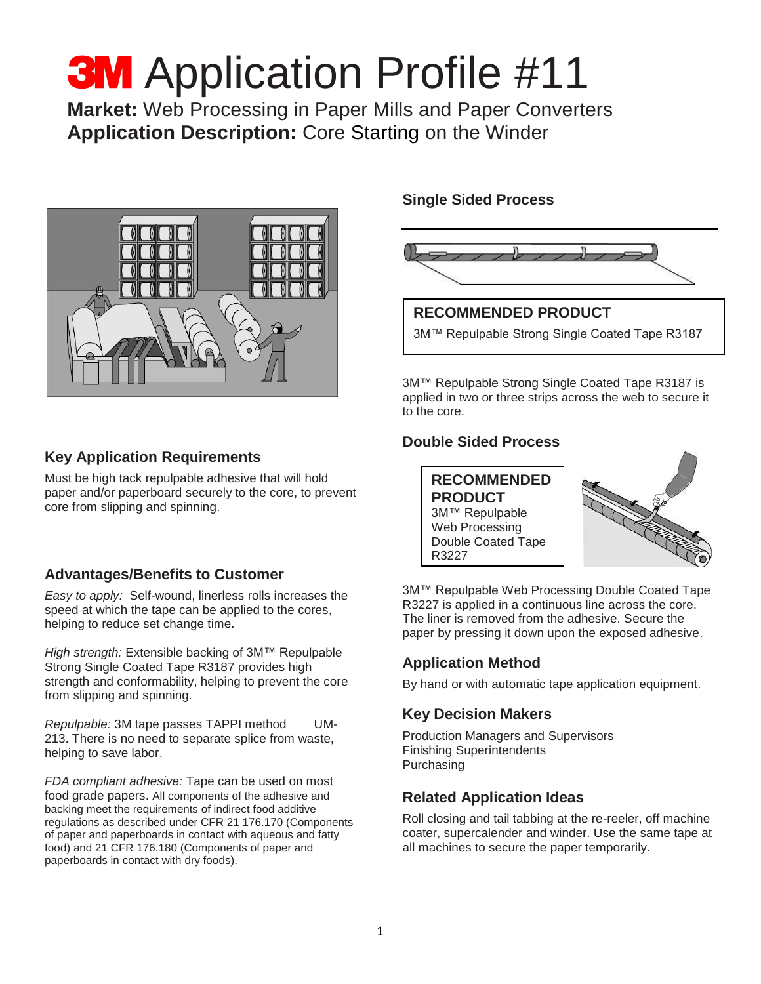# **3M** Application Profile #11

**Market:** Web Processing in Paper Mills and Paper Converters **Application Description:** Core Starting on the Winder



# **Key Application Requirements**

Must be high tack repulpable adhesive that will hold paper and/or paperboard securely to the core, to prevent core from slipping and spinning.

# **Advantages/Benefits to Customer**

*Easy to apply:* Self-wound, linerless rolls increases the speed at which the tape can be applied to the cores, helping to reduce set change time.

*High strength:* Extensible backing of 3M™ Repulpable Strong Single Coated Tape R3187 provides high strength and conformability, helping to prevent the core from slipping and spinning.

*Repulpable:* 3M tape passes TAPPI method UM-213. There is no need to separate splice from waste, helping to save labor.

*FDA compliant adhesive:* Tape can be used on most food grade papers. All components of the adhesive and backing meet the requirements of indirect food additive regulations as described under CFR 21 176.170 (Components of paper and paperboards in contact with aqueous and fatty food) and 21 CFR 176.180 (Components of paper and paperboards in contact with dry foods).

### **Single Sided Process**



**RECOMMENDED PRODUCT** 3M™ Repulpable Strong Single Coated Tape R3187

3M™ Repulpable Strong Single Coated Tape R3187 is applied in two or three strips across the web to secure it to the core.

# **Double Sided Process**

**RECOMMENDED PRODUCT** 3M™ Repulpable Web Processing Double Coated Tape R3227



3M™ Repulpable Web Processing Double Coated Tape R3227 is applied in a continuous line across the core. The liner is removed from the adhesive. Secure the paper by pressing it down upon the exposed adhesive.

# **Application Method**

By hand or with automatic tape application equipment.

# **Key Decision Makers**

Production Managers and Supervisors Finishing Superintendents Purchasing

# **Related Application Ideas**

Roll closing and tail tabbing at the re-reeler, off machine coater, supercalender and winder. Use the same tape at all machines to secure the paper temporarily.